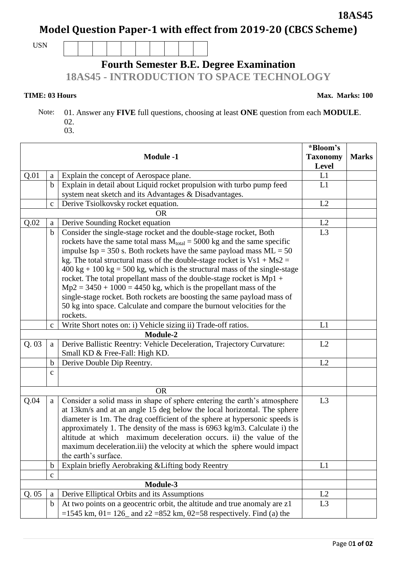## **Model Question Paper-1 with effect from 2019-20 (CBCS Scheme)**

USN

## **Fourth Semester B.E. Degree Examination**

**18AS45 - INTRODUCTION TO SPACE TECHNOLOGY** 

**TIME: 03 Hours** Max. Marks: 100

┑

 Note: 01. Answer any **FIVE** full questions, choosing at least **ONE** question from each **MODULE**. 02.

| ۰.<br>×<br>$\overline{\phantom{a}}$<br>-<br>× | $\sim$ |
|-----------------------------------------------|--------|

| <b>Module -1</b> |              | *Bloom's<br><b>Taxonomy</b>                                                                           | <b>Marks</b>   |  |
|------------------|--------------|-------------------------------------------------------------------------------------------------------|----------------|--|
|                  |              |                                                                                                       | Level          |  |
| Q.01             | a            | Explain the concept of Aerospace plane.                                                               | L1             |  |
|                  | $\mathbf b$  | Explain in detail about Liquid rocket propulsion with turbo pump feed                                 | L1             |  |
|                  |              | system neat sketch and its Advantages & Disadvantages.                                                |                |  |
|                  | $\mathbf c$  | Derive Tsiolkovsky rocket equation.                                                                   | L2             |  |
| OR               |              |                                                                                                       |                |  |
| Q.02             | a            | Derive Sounding Rocket equation                                                                       | L2             |  |
|                  | $\mathbf b$  | Consider the single-stage rocket and the double-stage rocket, Both                                    | L3             |  |
|                  |              | rockets have the same total mass $M_{total} = 5000$ kg and the same specific                          |                |  |
|                  |              | impulse Isp = 350 s. Both rockets have the same payload mass $ML = 50$                                |                |  |
|                  |              | kg. The total structural mass of the double-stage rocket is $Vs1 + Ms2 =$                             |                |  |
|                  |              | $400 \text{ kg} + 100 \text{ kg} = 500 \text{ kg}$ , which is the structural mass of the single-stage |                |  |
|                  |              | rocket. The total propellant mass of the double-stage rocket is Mp1 +                                 |                |  |
|                  |              | $Mp2 = 3450 + 1000 = 4450$ kg, which is the propellant mass of the                                    |                |  |
|                  |              | single-stage rocket. Both rockets are boosting the same payload mass of                               |                |  |
|                  |              | 50 kg into space. Calculate and compare the burnout velocities for the                                |                |  |
|                  |              | rockets.                                                                                              |                |  |
|                  | $\mathbf c$  | Write Short notes on: i) Vehicle sizing ii) Trade-off ratios.                                         | L1             |  |
| Module-2         |              |                                                                                                       |                |  |
| Q.03             | a            | Derive Ballistic Reentry: Vehicle Deceleration, Trajectory Curvature:                                 | L2             |  |
|                  |              | Small KD & Free-Fall: High KD.                                                                        |                |  |
|                  | $\mathbf b$  | Derive Double Dip Reentry.                                                                            | L2             |  |
|                  | $\mathbf{C}$ |                                                                                                       |                |  |
|                  |              |                                                                                                       |                |  |
|                  |              | <b>OR</b>                                                                                             |                |  |
| Q.04             | $\mathbf{a}$ | Consider a solid mass in shape of sphere entering the earth's atmosphere                              | L3             |  |
|                  |              | at 13km/s and at an angle 15 deg below the local horizontal. The sphere                               |                |  |
|                  |              | diameter is 1m. The drag coefficient of the sphere at hypersonic speeds is                            |                |  |
|                  |              | approximately 1. The density of the mass is 6963 kg/m3. Calculate i) the                              |                |  |
|                  |              | altitude at which maximum deceleration occurs. ii) the value of the                                   |                |  |
|                  |              | maximum deceleration.iii) the velocity at which the sphere would impact<br>the earth's surface.       |                |  |
|                  |              |                                                                                                       |                |  |
|                  | $\mathbf b$  | Explain briefly Aerobraking & Lifting body Reentry                                                    | L1             |  |
|                  | $\mathbf C$  |                                                                                                       |                |  |
|                  |              | Module-3                                                                                              | L2             |  |
| Q.05             | a            | Derive Elliptical Orbits and its Assumptions                                                          |                |  |
|                  | $\mathbf b$  | At two points on a geocentric orbit, the altitude and true anomaly are z1                             | L <sub>3</sub> |  |
|                  |              | =1545 km, $\theta$ 1= 126_ and z2 =852 km, $\theta$ 2=58 respectively. Find (a) the                   |                |  |

**18AS45**